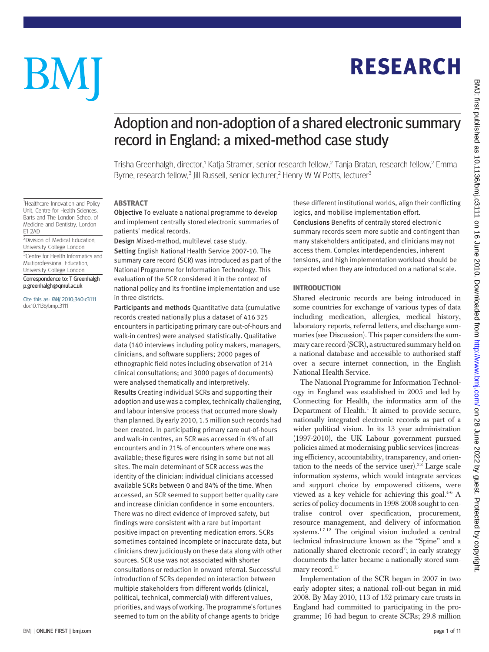# BM

<sup>1</sup>Healthcare Innovation and Policy Unit, Centre for Health Sciences, Barts and The London School of Medicine and Dentistry, London

2 Division of Medical Education, University College London <sup>3</sup> Centre for Health Informatics and Multiprofessional Education, University College London Correspondence to: T Greenhalgh p.greenhalgh@qmul.ac.uk Cite this as: BMJ 2010;340:c3111 doi:10.1136/bmj.c3111

E1 2AD

# **RESEARCH** RESEARCH

## Adoption and non-adoption of a shared electronic summary record in England: a mixed-method case study

Trisha Greenhalgh, director,<sup>1</sup> Katia Stramer, senior research fellow,<sup>2</sup> Tanja Bratan, research fellow,<sup>2</sup> Emma Byrne, research fellow,<sup>3</sup> Jill Russell, senior lecturer,<sup>2</sup> Henry W W Potts, lecturer<sup>3</sup>

#### **ARSTRACT**

Objective To evaluate a national programme to develop and implement centrally stored electronic summaries of patients' medical records.

Design Mixed-method, multilevel case study. Setting English National Health Service 2007-10. The summary care record (SCR) was introduced as part of the National Programme for Information Technology. This evaluation of the SCR considered it in the context of national policy and its frontline implementation and use in three districts.

Participants and methods Quantitative data (cumulative records created nationally plus a dataset of 416 325 encounters in participating primary care out-of-hours and walk-in centres) were analysed statistically. Qualitative data (140 interviews including policy makers, managers, clinicians, and software suppliers; 2000 pages of ethnographic field notes including observation of 214 clinical consultations; and 3000 pages of documents) were analysed thematically and interpretively. Results Creating individual SCRs and supporting their adoption and use was a complex, technically challenging, and labour intensive process that occurred more slowly than planned. By early 2010, 1.5 million such records had been created. In participating primary care out-of-hours and walk-in centres, an SCR was accessed in 4% of all encounters and in 21% of encounters where one was available; these figures were rising in some but not all sites. The main determinant of SCR access was the identity of the clinician: individual clinicians accessed available SCRs between 0 and 84% of the time. When accessed, an SCR seemed to support better quality care and increase clinician confidence in some encounters. There was no direct evidence of improved safety, but findings were consistent with a rare but important positive impact on preventing medication errors. SCRs sometimes contained incomplete or inaccurate data, but clinicians drew judiciously on these data along with other sources. SCR use was not associated with shorter consultations or reduction in onward referral. Successful introduction of SCRs depended on interaction between multiple stakeholders from different worlds (clinical, political, technical, commercial) with different values, priorities, and ways of working. The programme's fortunes seemed to turn on the ability of change agents to bridge

these different institutional worlds, align their conflicting logics, and mobilise implementation effort.

Conclusions Benefits of centrally stored electronic summary records seem more subtle and contingent than many stakeholders anticipated, and clinicians may not access them. Complex interdependencies, inherent tensions, and high implementation workload should be expected when they are introduced on a national scale.

Shared electronic records are being introduced in some countries for exchange of various types of data including medication, allergies, medical history, laboratory reports, referral letters, and discharge summaries (see Discussion). This paper considers the summary care record (SCR), a structured summary held on a national database and accessible to authorised staff over a secure internet connection, in the English National Health Service.

The National Programme for Information Technology in England was established in 2005 and led by Connecting for Health, the informatics arm of the Department of Health.<sup>1</sup> It aimed to provide secure, nationally integrated electronic records as part of a wider political vision. In its 13 year administration (1997-2010), the UK Labour government pursued policies aimed at modernising public services (increasing efficiency, accountability, transparency, and orientation to the needs of the service user).<sup>23</sup> Large scale information systems, which would integrate services and support choice by empowered citizens, were viewed as a key vehicle for achieving this goal.<sup>4-6</sup> A series of policy documents in 1998-2008 sought to centralise control over specification, procurement, resource management, and delivery of information systems.<sup>17-12</sup> The original vision included a central technical infrastructure known as the "Spine" and a nationally shared electronic record<sup>7</sup>; in early strategy documents the latter became a nationally stored summary record.<sup>13</sup>

Implementation of the SCR began in 2007 in two early adopter sites; a national roll-out began in mid 2008. By May 2010, 113 of 152 primary care trusts in England had committed to participating in the programme; 16 had begun to create SCRs; 29.8 million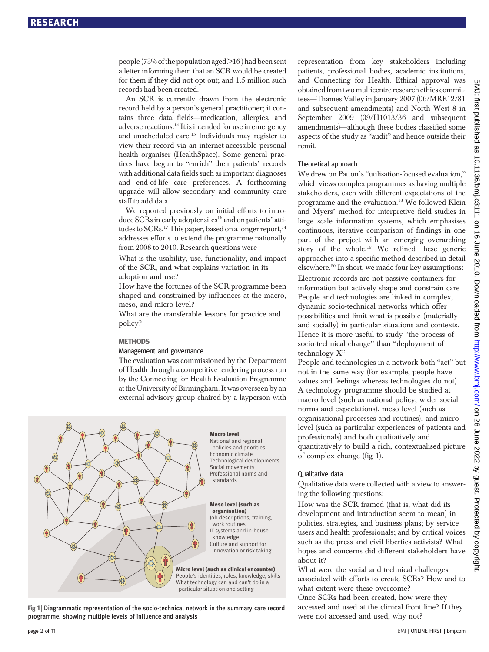people (73% of the population aged >16 ) had been sent a letter informing them that an SCR would be created for them if they did not opt out; and 1.5 million such records had been created.

An SCR is currently drawn from the electronic record held by a person's general practitioner; it contains three data fields—medication, allergies, and adverse reactions.14 It is intended for use in emergency and unscheduled care.<sup>15</sup> Individuals may register to view their record via an internet-accessible personal health organiser (HealthSpace). Some general practices have begun to "enrich" their patients' records with additional data fields such as important diagnoses and end-of-life care preferences. A forthcoming upgrade will allow secondary and community care staff to add data.

We reported previously on initial efforts to introduce SCRs in early adopter sites<sup>16</sup> and on patients' attitudes to  $SCRs.$ <sup>17</sup> This paper, based on a longer report,  $14$ addresses efforts to extend the programme nationally from 2008 to 2010. Research questions were

What is the usability, use, functionality, and impact of the SCR, and what explains variation in its adoption and use?

How have the fortunes of the SCR programme been shaped and constrained by influences at the macro, meso, and micro level?

What are the transferable lessons for practice and policy?

#### **METHODS**

## Management and governance

The evaluation was commissioned by the Department of Health through a competitive tendering process run by the Connecting for Health Evaluation Programme at the University of Birmingham. It was overseen by an external advisory group chaired by a layperson with



Fig 1 | Diagrammatic representation of the socio-technical network in the summary care record programme, showing multiple levels of influence and analysis

representation from key stakeholders including patients, professional bodies, academic institutions, and Connecting for Health. Ethical approval was obtained from two multicentre research ethics committees—Thames Valley in January 2007 (06/MRE12/81 and subsequent amendments) and North West 8 in September 2009 (09/H1013/36 and subsequent amendments)—although these bodies classified some aspects of the study as "audit" and hence outside their remit.

#### Theoretical approach

We drew on Patton's "utilisation-focused evaluation," which views complex programmes as having multiple stakeholders, each with different expectations of the programme and the evaluation.<sup>18</sup> We followed Klein and Myers' method for interpretive field studies in large scale information systems, which emphasises continuous, iterative comparison of findings in one part of the project with an emerging overarching story of the whole.<sup>19</sup> We refined these generic approaches into a specific method described in detail elsewhere.20 In short, we made four key assumptions:

Electronic records are not passive containers for information but actively shape and constrain care People and technologies are linked in complex, dynamic socio-technical networks which offer possibilities and limit what is possible (materially and socially) in particular situations and contexts. Hence it is more useful to study "the process of socio-technical change" than "deployment of technology X"

People and technologies in a network both "act" but not in the same way (for example, people have values and feelings whereas technologies do not) A technology programme should be studied at macro level (such as national policy, wider social norms and expectations), meso level (such as organisational processes and routines), and micro level (such as particular experiences of patients and professionals) and both qualitatively and quantitatively to build a rich, contextualised picture of complex change (fig 1).

#### Qualitative data

Qualitative data were collected with a view to answering the following questions:

How was the SCR framed (that is, what did its development and introduction seem to mean) in policies, strategies, and business plans; by service users and health professionals; and by critical voices such as the press and civil liberties activists? What hopes and concerns did different stakeholders have about it?

What were the social and technical challenges associated with efforts to create SCRs? How and to what extent were these overcome?

Once SCRs had been created, how were they accessed and used at the clinical front line? If they were not accessed and used, why not?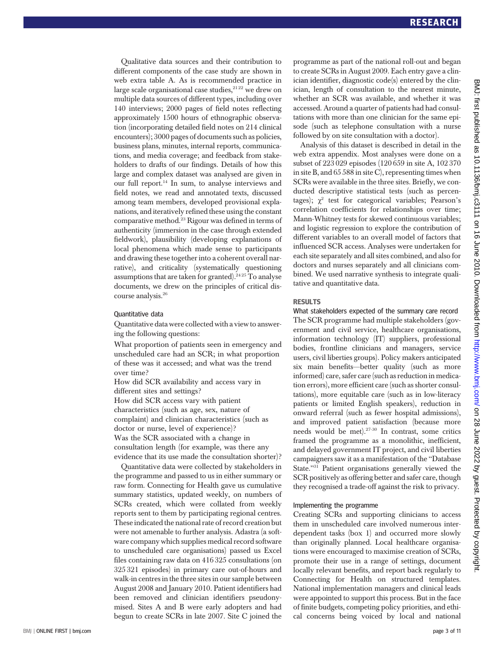Qualitative data sources and their contribution to different components of the case study are shown in web extra table A. As is recommended practice in large scale organisational case studies, $2122$  we drew on multiple data sources of different types, including over 140 interviews; 2000 pages of field notes reflecting approximately 1500 hours of ethnographic observation (incorporating detailed field notes on 214 clinical encounters); 3000 pages of documents such as policies, business plans, minutes, internal reports, communications, and media coverage; and feedback from stakeholders to drafts of our findings. Details of how this large and complex dataset was analysed are given in our full report.14 In sum, to analyse interviews and field notes, we read and annotated texts, discussed among team members, developed provisional explanations, and iteratively refined these using the constant comparative method.23 Rigour was defined in terms of authenticity (immersion in the case through extended fieldwork), plausibility (developing explanations of local phenomena which made sense to participants and drawing these together into a coherent overall narrative), and criticality (systematically questioning assumptions that are taken for granted).<sup>2425</sup> To analyse documents, we drew on the principles of critical discourse analysis.26

#### Quantitative data

Quantitative data were collected with a view to answering the following questions:

What proportion of patients seen in emergency and unscheduled care had an SCR; in what proportion of these was it accessed; and what was the trend over time?

How did SCR availability and access vary in different sites and settings?

How did SCR access vary with patient characteristics (such as age, sex, nature of complaint) and clinician characteristics (such as doctor or nurse, level of experience)? Was the SCR associated with a change in consultation length (for example, was there any evidence that its use made the consultation shorter)?

Quantitative data were collected by stakeholders in the programme and passed to us in either summary or raw form. Connecting for Health gave us cumulative summary statistics, updated weekly, on numbers of SCRs created, which were collated from weekly reports sent to them by participating regional centres. These indicated the national rate of record creation but were not amenable to further analysis. Adastra (a software company which supplies medical record software to unscheduled care organisations) passed us Excel files containing raw data on 416 325 consultations (on 325 321 episodes) in primary care out-of-hours and walk-in centres in the three sites in our sample between August 2008 and January 2010. Patient identifiers had been removed and clinician identifiers pseudonymised. Sites A and B were early adopters and had begun to create SCRs in late 2007. Site C joined the programme as part of the national roll-out and began to create SCRs in August 2009. Each entry gave a clinician identifier, diagnostic code(s) entered by the clinician, length of consultation to the nearest minute, whether an SCR was available, and whether it was accessed. Around a quarter of patients had had consultations with more than one clinician for the same episode (such as telephone consultation with a nurse followed by on site consultation with a doctor).

Analysis of this dataset is described in detail in the web extra appendix. Most analyses were done on a subset of 223 029 episodes (120 659 in site A, 102 370 in site B, and 65 588 in site C), representing times when SCRs were available in the three sites. Briefly, we conducted descriptive statistical tests (such as percentages);  $\chi^2$  test for categorical variables; Pearson's correlation coefficients for relationships over time; Mann-Whitney tests for skewed continuous variables; and logistic regression to explore the contribution of different variables to an overall model of factors that influenced SCR access. Analyses were undertaken for each site separately and all sites combined, and also for doctors and nurses separately and all clinicians combined. We used narrative synthesis to integrate qualitative and quantitative data.

what stakeholders expected of the summary care record

The SCR programme had multiple stakeholders (government and civil service, healthcare organisations, information technology (IT) suppliers, professional bodies, frontline clinicians and managers, service users, civil liberties groups). Policy makers anticipated six main benefits—better quality (such as more informed) care, safer care (such as reduction in medication errors), more efficient care (such as shorter consultations), more equitable care (such as in low-literacy patients or limited English speakers), reduction in onward referral (such as fewer hospital admissions), and improved patient satisfaction (because more needs would be met).27-30 In contrast, some critics framed the programme as a monolithic, inefficient, and delayed government IT project, and civil liberties campaigners saw it as a manifestation of the "Database State."<sup>31</sup> Patient organisations generally viewed the SCR positively as offering better and safer care, though they recognised a trade-off against the risk to privacy.

#### Implementing the programme

Creating SCRs and supporting clinicians to access them in unscheduled care involved numerous interdependent tasks (box 1) and occurred more slowly than originally planned. Local healthcare organisations were encouraged to maximise creation of SCRs, promote their use in a range of settings, document locally relevant benefits, and report back regularly to Connecting for Health on structured templates. National implementation managers and clinical leads were appointed to support this process. But in the face of finite budgets, competing policy priorities, and ethical concerns being voiced by local and national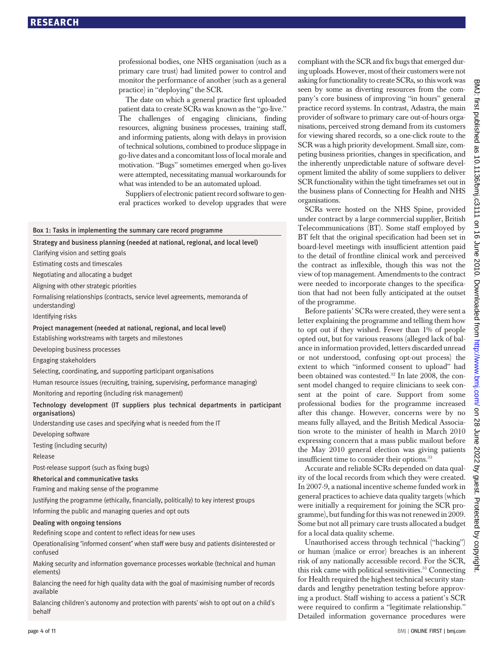professional bodies, one NHS organisation (such as a primary care trust) had limited power to control and monitor the performance of another (such as a general practice) in "deploying" the SCR.

The date on which a general practice first uploaded patient data to create SCRs was known as the "go-live." The challenges of engaging clinicians, finding resources, aligning business processes, training staff, and informing patients, along with delays in provision of technical solutions, combined to produce slippage in go-live dates and a concomitant loss of local morale and motivation. "Bugs" sometimes emerged when go-lives were attempted, necessitating manual workarounds for what was intended to be an automated upload.

Suppliers of electronic patient record software to general practices worked to develop upgrades that were

|  |  |  | Box 1: Tasks in implementing the summary care record programme |  |  |  |  |  |
|--|--|--|----------------------------------------------------------------|--|--|--|--|--|
|--|--|--|----------------------------------------------------------------|--|--|--|--|--|

Strategy and business planning (needed at national, regional, and local level)

Clarifying vision and setting goals

Estimating costs and timescales

Negotiating and allocating a budget

Aligning with other strategic priorities

Formalising relationships (contracts, service level agreements, memoranda of understanding)

Identifying risks

Project management (needed at national, regional, and local level)

Establishing workstreams with targets and milestones

Developing business processes

Engaging stakeholders

Selecting, coordinating, and supporting participant organisations

Human resource issues (recruiting, training, supervising, performance managing)

Monitoring and reporting (including risk management)

Technology development (IT suppliers plus technical departments in participant organisations)

Understanding use cases and specifying what is needed from the IT

Developing software

Testing (including security)

Release

Post-release support (such as fixing bugs)

#### Rhetorical and communicative tasks

Framing and making sense of the programme

Justifying the programme (ethically, financially, politically) to key interest groups

Informing the public and managing queries and opt outs

#### Dealing with ongoing tensions

Redefining scope and content to reflect ideas for new uses

Operationalising "informed consent" when staff were busy and patients disinterested or confused

Making security and information governance processes workable (technical and human elements)

Balancing the need for high quality data with the goal of maximising number of records available

Balancing children's autonomy and protection with parents' wish to opt out on a child's behalf

compliant with the SCR and fix bugs that emerged during uploads. However, most of their customers were not asking for functionality to create SCRs, so this work was seen by some as diverting resources from the company's core business of improving "in hours" general practice record systems. In contrast, Adastra, the main provider of software to primary care out-of-hours organisations, perceived strong demand from its customers for viewing shared records, so a one-click route to the SCR was a high priority development. Small size, competing business priorities, changes in specification, and the inherently unpredictable nature of software development limited the ability of some suppliers to deliver SCR functionality within the tight timeframes set out in the business plans of Connecting for Health and NHS organisations.

SCRs were hosted on the NHS Spine, provided under contract by a large commercial supplier, British Telecommunications (BT). Some staff employed by BT felt that the original specification had been set in board-level meetings with insufficient attention paid to the detail of frontline clinical work and perceived the contract as inflexible, though this was not the view of top management. Amendments to the contract were needed to incorporate changes to the specification that had not been fully anticipated at the outset of the programme.

Before patients' SCRs were created, they were sent a letter explaining the programme and telling them how to opt out if they wished. Fewer than 1% of people opted out, but for various reasons (alleged lack of balance in information provided, letters discarded unread or not understood, confusing opt-out process) the extent to which "informed consent to upload" had been obtained was contested.<sup>32</sup> In late 2008, the consent model changed to require clinicians to seek consent at the point of care. Support from some professional bodies for the programme increased after this change. However, concerns were by no means fully allayed, and the British Medical Association wrote to the minister of health in March 2010 expressing concern that a mass public mailout before the May 2010 general election was giving patients insufficient time to consider their options.<sup>33</sup>

Accurate and reliable SCRs depended on data quality of the local records from which they were created. In 2007-9, a national incentive scheme funded work in general practices to achieve data quality targets (which were initially a requirement for joining the SCR programme), but funding for this was not renewed in 2009. Some but not all primary care trusts allocated a budget for a local data quality scheme.

Unauthorised access through technical ("hacking") or human (malice or error) breaches is an inherent risk of any nationally accessible record. For the SCR, this risk came with political sensitivities.<sup>31</sup> Connecting for Health required the highest technical security standards and lengthy penetration testing before approving a product. Staff wishing to access a patient's SCR were required to confirm a "legitimate relationship." Detailed information governance procedures were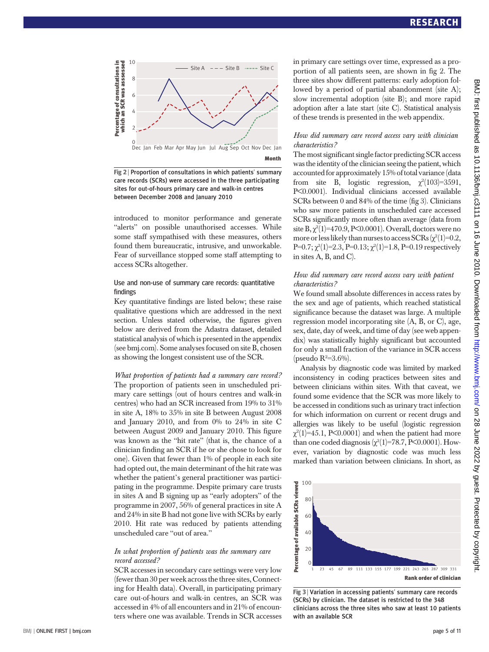

Fig 2 | Proportion of consultations in which patients' summary care records (SCRs) were accessed in the three participating sites for out-of-hours primary care and walk-in centres between December 2008 and January 2010

introduced to monitor performance and generate "alerts" on possible unauthorised accesses. While some staff sympathised with these measures, others found them bureaucratic, intrusive, and unworkable. Fear of surveillance stopped some staff attempting to access SCRs altogether.

#### Use and non-use of summary care records: quantitative findings

Key quantitative findings are listed below; these raise qualitative questions which are addressed in the next section. Unless stated otherwise, the figures given below are derived from the Adastra dataset, detailed statistical analysis of which is presented in the appendix (see bmj.com). Some analyses focused on site B, chosen as showing the longest consistent use of the SCR.

What proportion of patients had a summary care record? The proportion of patients seen in unscheduled primary care settings (out of hours centres and walk-in centres) who had an SCR increased from 19% to 31% in site A, 18% to 35% in site B between August 2008 and January 2010, and from  $0\%$  to  $24\%$  in site C between August 2009 and January 2010. This figure was known as the "hit rate" (that is, the chance of a clinician finding an SCR if he or she chose to look for one). Given that fewer than 1% of people in each site had opted out, the main determinant of the hit rate was whether the patient's general practitioner was participating in the programme. Despite primary care trusts in sites A and B signing up as "early adopters" of the programme in 2007, 56% of general practices in site A and 24% in site B had not gone live with SCRs by early 2010. Hit rate was reduced by patients attending unscheduled care "out of area."

#### In what proportion of patients was the summary care record accessed?

SCR accesses in secondary care settings were very low (fewer than 30 per week across the three sites, Connecting for Health data). Overall, in participating primary care out-of-hours and walk-in centres, an SCR was accessed in 4% of all encounters and in 21% of encounters where one was available. Trends in SCR accesses in primary care settings over time, expressed as a proportion of all patients seen, are shown in fig 2. The three sites show different patterns: early adoption followed by a period of partial abandonment (site A); slow incremental adoption (site B); and more rapid adoption after a late start (site C). Statistical analysis of these trends is presented in the web appendix.

#### How did summary care record access vary with clinician characteristics?

The most significant single factor predicting SCR access was the identity of the clinician seeing the patient, which accounted for approximately 15% of total variance (data from site B, logistic regression,  $\chi^2(103)=3591$ , P<0.0001). Individual clinicians accessed available SCRs between 0 and 84% of the time (fig 3). Clinicians who saw more patients in unscheduled care accessed SCRs significantly more often than average (data from site  $\mathrm{B}, \chi^2(1)=470.9, \mathrm{P}\!\!\leq\!\!0.0001).$  Overall, doctors were no more or less likely than nurses to access SCRs ( $\chi^2(1)=0.2,$ P=0.7;  $\chi^2(1)=2.3$ , P=0.13;  $\chi^2(1)=1.8$ , P=0.19 respectively in sites A, B, and C).

#### How did summary care record access vary with patient characteristics?

We found small absolute differences in access rates by the sex and age of patients, which reached statistical significance because the dataset was large. A multiple regression model incorporating site (A, B, or C), age, sex, date, day of week, and time of day (see web appendix) was statistically highly significant but accounted for only a small fraction of the variance in SCR access (pseudo  $R^2 = 3.6\%$ ).

Analysis by diagnostic code was limited by marked inconsistency in coding practices between sites and between clinicians within sites. With that caveat, we found some evidence that the SCR was more likely to be accessed in conditions such as urinary tract infection for which information on current or recent drugs and allergies was likely to be useful (logistic regression  $\chi^2(1)=45.1,$  P<0.0001) and when the patient had more than one coded diagnosis ( $\chi^2(1)$ =78.7, P<0.0001). However, variation by diagnostic code was much less marked than variation between clinicians. In short, as



Fig 3 | Variation in accessing patients' summary care records (SCRs) by clinician. The dataset is restricted to the 348 clinicians across the three sites who saw at least 10 patients with an available SCR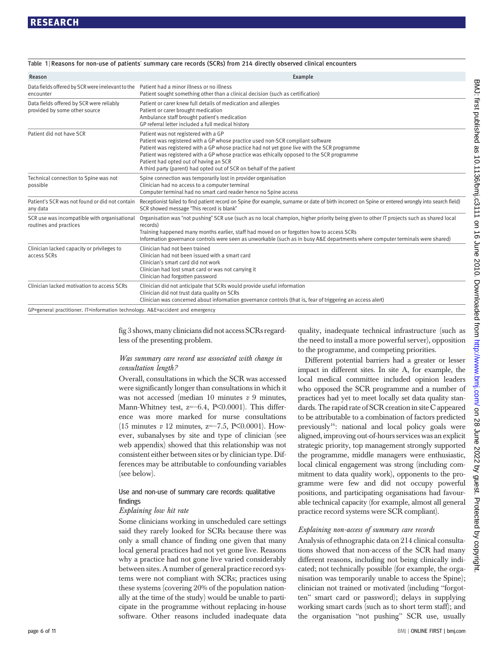## **RESEARCH** <u>researches</u>

| Reason                                                                                                   | Example                                                                                                                                                                                                                                                                                                                                                                                                                                 |  |  |  |  |  |
|----------------------------------------------------------------------------------------------------------|-----------------------------------------------------------------------------------------------------------------------------------------------------------------------------------------------------------------------------------------------------------------------------------------------------------------------------------------------------------------------------------------------------------------------------------------|--|--|--|--|--|
| Data fields offered by SCR were irrelevant to the Patient had a minor illness or no illness<br>encounter | Patient sought something other than a clinical decision (such as certification)                                                                                                                                                                                                                                                                                                                                                         |  |  |  |  |  |
| Data fields offered by SCR were reliably<br>provided by some other source                                | Patient or carer knew full details of medication and allergies<br>Patient or carer brought medication<br>Ambulance staff brought patient's medication<br>GP referral letter included a full medical history                                                                                                                                                                                                                             |  |  |  |  |  |
| Patient did not have SCR                                                                                 | Patient was not registered with a GP<br>Patient was registered with a GP whose practice used non-SCR compliant software<br>Patient was registered with a GP whose practice had not yet gone live with the SCR programme<br>Patient was registered with a GP whose practice was ethically opposed to the SCR programme<br>Patient had opted out of having an SCR<br>A third party (parent) had opted out of SCR on behalf of the patient |  |  |  |  |  |
| Technical connection to Spine was not<br>possible                                                        | Spine connection was temporarily lost in provider organisation<br>Clinician had no access to a computer terminal<br>Computer terminal had no smart card reader hence no Spine access                                                                                                                                                                                                                                                    |  |  |  |  |  |
| Patient's SCR was not found or did not contain<br>any data                                               | Receptionist failed to find patient record on Spine (for example, surname or date of birth incorrect on Spine or entered wrongly into search field)<br>SCR showed message "This record is blank"                                                                                                                                                                                                                                        |  |  |  |  |  |
| SCR use was incompatible with organisational<br>routines and practices                                   | Organisation was "not pushing" SCR use (such as no local champion, higher priority being given to other IT projects such as shared local<br>records)<br>Training happened many months earlier, staff had moved on or forgotten how to access SCRs<br>Information governance controls were seen as unworkable (such as in busy A&E departments where computer terminals were shared)                                                     |  |  |  |  |  |
| Clinician lacked capacity or privileges to<br>access SCRs                                                | Clinician had not been trained<br>Clinician had not been issued with a smart card<br>Clinician's smart card did not work<br>Clinician had lost smart card or was not carrying it<br>Clinician had forgotten password                                                                                                                                                                                                                    |  |  |  |  |  |
| Clinician lacked motivation to access SCRs                                                               | Clinician did not anticipate that SCRs would provide useful information<br>Clinician did not trust data quality on SCRs<br>Clinician was concerned about information governance controls (that is, fear of triggering an access alert)                                                                                                                                                                                                  |  |  |  |  |  |
| GP=general practitioner. IT=information technology. A&E=accident and emergency                           |                                                                                                                                                                                                                                                                                                                                                                                                                                         |  |  |  |  |  |

Table 1 <sup>|</sup> Reasons for non-use of patients' summary care records (SCRs) from 214 directly observed clinical encounters

fig 3 shows, many clinicians did not access SCRs regardless of the presenting problem.

### Was summary care record use associated with change in consultation length?

Overall, consultations in which the SCR was accessed were significantly longer than consultations in which it was not accessed (median  $10$  minutes  $v$  9 minutes, Mann-Whitney test, z=−6.4, P<0.0001). This difference was more marked for nurse consultations (15 minutes v 12 minutes, z=−7.5, P<0.0001). However, subanalyses by site and type of clinician (see web appendix) showed that this relationship was not consistent either between sites or by clinician type. Differences may be attributable to confounding variables (see below).

#### Use and non-use of summary care records: qualitative findings

#### Explaining low hit rate

Some clinicians working in unscheduled care settings said they rarely looked for SCRs because there was only a small chance of finding one given that many local general practices had not yet gone live. Reasons why a practice had not gone live varied considerably between sites. A number of general practice record systems were not compliant with SCRs; practices using these systems (covering 20% of the population nationally at the time of the study) would be unable to participate in the programme without replacing in-house software. Other reasons included inadequate data quality, inadequate technical infrastructure (such as the need to install a more powerful server), opposition to the programme, and competing priorities.

Different potential barriers had a greater or lesser impact in different sites. In site A, for example, the local medical committee included opinion leaders who opposed the SCR programme and a number of practices had yet to meet locally set data quality standards. The rapid rate of SCR creation in site C appeared to be attributable to a combination of factors predicted previously<sup>16</sup>: national and local policy goals were aligned, improving out-of-hours services was an explicit strategic priority, top management strongly supported the programme, middle managers were enthusiastic, local clinical engagement was strong (including commitment to data quality work), opponents to the programme were few and did not occupy powerful positions, and participating organisations had favourable technical capacity (for example, almost all general practice record systems were SCR compliant).

### Explaining non-access of summary care records

Analysis of ethnographic data on 214 clinical consultations showed that non-access of the SCR had many different reasons, including not being clinically indicated; not technically possible (for example, the organisation was temporarily unable to access the Spine); clinician not trained or motivated (including "forgotten" smart card or password); delays in supplying working smart cards (such as to short term staff); and the organisation "not pushing" SCR use, usually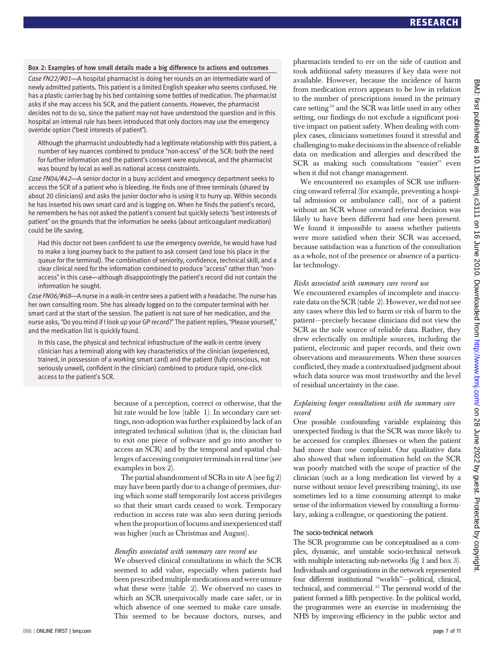#### Box 2: Examples of how small details made a big difference to actions and outcomes

Case FN22/#01—A hospital pharmacist is doing her rounds on an intermediate ward of newly admitted patients. This patient is a limited English speaker who seems confused. He has a plastic carrier bag by his bed containing some bottles of medication. The pharmacist asks if she may access his SCR, and the patient consents. However, the pharmacist decides not to do so, since the patient may not have understood the question and in this hospital an internal rule has been introduced that only doctors may use the emergency override option ("best interests of patient").

Although the pharmacist undoubtedly had a legitimate relationship with this patient, a number of key nuances combined to produce "non-access" of the SCR: both the need for further information and the patient's consent were equivocal, and the pharmacist was bound by local as well as national access constraints.

Case FN04/#42—A senior doctor in a busy accident and emergency department seeks to access the SCR of a patient who is bleeding. He finds one of three terminals (shared by about 20 clinicians) and asks the junior doctor who is using it to hurry up. Within seconds he has inserted his own smart card and is logging on. When he finds the patient's record, he remembers he has not asked the patient's consent but quickly selects "best interests of patient" on the grounds that the information he seeks (about anticoagulant medication) could be life saving.

Had this doctor not been confident to use the emergency override, he would have had to make a long journey back to the patient to ask consent (and lose his place in the queue for the terminal). The combination of seniority, confidence, technical skill, and a clear clinical need for the information combined to produce "access" rather than "nonaccess" in this case—although disappointingly the patient's record did not contain the information he sought.

Case FN06/#68—A nurse in a walk-in centre sees a patient with a headache. The nurse has her own consulting room. She has already logged on to the computer terminal with her smart card at the start of the session. The patient is not sure of her medication, and the nurse asks, "Do you mind if I look up your GP record?" The patient replies, "Please yourself," and the medication list is quickly found.

In this case, the physical and technical infrastructure of the walk-in centre (every clinician has a terminal) along with key characteristics of the clinician (experienced, trained, in possession of a working smart card) and the patient (fully conscious, not seriously unwell, confident in the clinician) combined to produce rapid, one-click access to the patient's SCR.

> because of a perception, correct or otherwise, that the hit rate would be low (table 1). In secondary care settings, non-adoption was further explained by lack of an integrated technical solution (that is, the clinician had to exit one piece of software and go into another to access an SCR) and by the temporal and spatial challenges of accessing computer terminals in real time (see examples in box 2).

> The partial abandonment of SCRs in site A (see fig 2) may have been partly due to a change of premises, during which some staff temporarily lost access privileges so that their smart cards ceased to work. Temporary reduction in access rate was also seen during periods when the proportion of locums and inexperienced staff was higher (such as Christmas and August).

### Benefits associated with summary care record use

We observed clinical consultations in which the SCR seemed to add value, especially when patients had been prescribed multiple medications and were unsure what these were (table 2). We observed no cases in which an SCR unequivocally made care safer, or in which absence of one seemed to make care unsafe. This seemed to be because doctors, nurses, and pharmacists tended to err on the side of caution and took additional safety measures if key data were not available. However, because the incidence of harm from medication errors appears to be low in relation to the number of prescriptions issued in the primary care setting <sup>34</sup> and the SCR was little used in any other setting, our findings do not exclude a significant positive impact on patient safety. When dealing with complex cases, clinicians sometimes found it stressful and challenging to make decisions in the absence of reliable data on medication and allergies and described the SCR as making such consultations "easier" even when it did not change management.

We encountered no examples of SCR use influencing onward referral (for example, preventing a hospital admission or ambulance call), nor of a patient without an SCR whose onward referral decision was likely to have been different had one been present. We found it impossible to assess whether patients were more satisfied when their SCR was accessed, because satisfaction was a function of the consultation as a whole, not of the presence or absence of a particular technology.

### Risks associated with summary care record use

We encountered examples of incomplete and inaccurate data on the SCR (table 2). However, we did not see any cases where this led to harm or risk of harm to the patient—precisely because clinicians did not view the SCR as the sole source of reliable data. Rather, they drew eclectically on multiple sources, including the patient, electronic and paper records, and their own observations and measurements. When these sources conflicted, they made a contextualised judgment about which data source was most trustworthy and the level of residual uncertainty in the case.

#### Explaining longer consultations with the summary care record

One possible confounding variable explaining this unexpected finding is that the SCR was more likely to be accessed for complex illnesses or when the patient had more than one complaint. Our qualitative data also showed that when information held on the SCR was poorly matched with the scope of practice of the clinician (such as a long medication list viewed by a nurse without senior level prescribing training), its use sometimes led to a time consuming attempt to make sense of the information viewed by consulting a formulary, asking a colleague, or questioning the patient.

## The socio-technical network

The SCR programme can be conceptualised as a complex, dynamic, and unstable socio-technical network with multiple interacting sub-networks (fig 1 and box 3). Individuals and organisations in the network represented four different institutional "worlds"—political, clinical, technical, and commercial. <sup>35</sup> The personal world of the patient formed a fifth perspective. In the political world, the programmes were an exercise in modernising the NHS by improving efficiency in the public sector and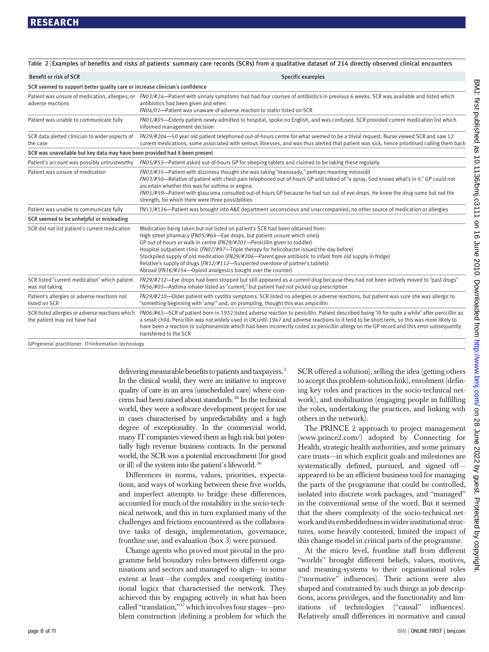| <b>Benefit or risk of SCR</b>                                                   | Specific examples                                                                                                                                                                                                                                                                                                                                                                                                                                                                                                                                                                                      |  |  |  |  |  |
|---------------------------------------------------------------------------------|--------------------------------------------------------------------------------------------------------------------------------------------------------------------------------------------------------------------------------------------------------------------------------------------------------------------------------------------------------------------------------------------------------------------------------------------------------------------------------------------------------------------------------------------------------------------------------------------------------|--|--|--|--|--|
| SCR seemed to support better quality care or increase clinician's confidence    |                                                                                                                                                                                                                                                                                                                                                                                                                                                                                                                                                                                                        |  |  |  |  |  |
| adverse reactions                                                               | Patient was unsure of medication, allergies, or FN03/#24-Patient with urinary symptoms had had four courses of antibiotics in previous 6 weeks. SCR was available and listed which<br>antibiotics had been given and when<br>FN04/01-Patient was unaware of adverse reaction to statin listed on SCR                                                                                                                                                                                                                                                                                                   |  |  |  |  |  |
| Patient was unable to communicate fully                                         | FN01/#05—Elderly patient newly admitted to hospital, spoke no English, and was confused. SCR provided current medication list which<br>informed management decision                                                                                                                                                                                                                                                                                                                                                                                                                                    |  |  |  |  |  |
| SCR data alerted clinician to wider aspects of<br>the case                      | FN29/#204-50 year old patient telephoned out-of-hours centre for what seemed to be a trivial request. Nurse viewed SCR and saw 12<br>current medications, some associated with serious illnesses, and was thus alerted that patient was sick, hence prioritised calling them back                                                                                                                                                                                                                                                                                                                      |  |  |  |  |  |
| SCR was unavailable but key data may have been provided had it been present     |                                                                                                                                                                                                                                                                                                                                                                                                                                                                                                                                                                                                        |  |  |  |  |  |
| Patient's account was possibly untrustworthy                                    | FN05/#55-Patient asked out-of-hours GP for sleeping tablets and claimed to be taking these regularly                                                                                                                                                                                                                                                                                                                                                                                                                                                                                                   |  |  |  |  |  |
| Patient was unsure of medication                                                | FN03/#35—Patient with dizziness thought she was taking "manoxady," perhaps meaning minoxidil<br>FN03/#50—Relative of patient with chest pain telephoned out-of-hours GP and talked of "a spray, God knows what's in it." GP could not<br>ascertain whether this was for asthma or angina<br>FN05/#59—Patient with glaucoma consulted out-of-hours GP because he had run out of eye drops. He knew the drug name but not the<br>strength, for which there were three possibilities                                                                                                                      |  |  |  |  |  |
| Patient was unable to communicate fully                                         | FN13/#126—Patient was brought into A&E department unconscious and unaccompanied, no other source of medication or allergies                                                                                                                                                                                                                                                                                                                                                                                                                                                                            |  |  |  |  |  |
| SCR seemed to be unhelpful or misleading                                        |                                                                                                                                                                                                                                                                                                                                                                                                                                                                                                                                                                                                        |  |  |  |  |  |
| SCR did not list patient's current medication                                   | Medication being taken but not listed on patient's SCR had been obtained from:<br>High street pharmacy (FN05/#64-Eye drops, but patient unsure which ones)<br>GP out-of-hours or walk-in centre (FN29/#201-Penicillin given to toddler)<br>Hospital outpatient clinic (FN07/#97—Triple therapy for helicobacter issued the day before)<br>Stockpiled supply of old medication (FN29/#206—Parent gave antibiotic to infant from old supply in fridge)<br>Relative's supply of drugs (FN12/#112-Suspected overdose of partner's tablets)<br>Abroad (FN16/#154—Opioid analgesics bought over the counter) |  |  |  |  |  |
| SCR listed "current medication" which patient<br>was not taking                 | FN29/#212-Eye drops had been stopped but still appeared as a current drug because they had not been actively moved to "past drugs"<br>FN56/#05-Asthma inhaler listed as "current," but patient had not picked up prescription                                                                                                                                                                                                                                                                                                                                                                          |  |  |  |  |  |
| Patient's allergies or adverse reactions not<br>listed on SCR                   | FN29/#210-Older patient with cystitis symptoms. SCR listed no allergies or adverse reactions, but patient was sure she was allergic to<br>"something beginning with 'amp'" and, on prompting, thought this was ampicillin                                                                                                                                                                                                                                                                                                                                                                              |  |  |  |  |  |
| SCR listed allergies or adverse reactions which<br>the patient may not have had | FN06/#65-SCR of patient born in 1932 listed adverse reaction to penicillin. Patient described being "ill for quite a while" after penicillin as<br>a small child. Penicillin was not widely used in UK until 1947 and adverse reactions to it tend to be short term, so this was more likely to<br>have been a reaction to sulphonamide which had been incorrectly coded as penicillin allergy on the GP record and this error subsequently<br>transferred to the SCR                                                                                                                                  |  |  |  |  |  |

Table 2 Examples of benefits and risks of patients' summary care records (SCRs) from a qualitative dataset of 214 directly observed clinical encounters

GP=general practitioner. IT=information technology

delivering measurable benefits to patients and taxpayers.<sup>2</sup> In the clinical world, they were an initiative to improve quality of care in an area (unscheduled care) where concerns had been raised about standards.<sup>28</sup> In the technical world, they were a software development project for use in cases characterised by unpredictability and a high degree of exceptionality. In the commercial world, many IT companies viewed them as high risk but potentially high revenue business contracts. In the personal world, the SCR was a potential encroachment (for good or ill) of the system into the patient's lifeworld. <sup>36</sup>

Differences in norms, values, priorities, expectations, and ways of working between these five worlds, and imperfect attempts to bridge these differences, accounted for much of the instability in the socio-technical network, and this in turn explained many of the challenges and frictions encountered as the collaborative tasks of design, implementation, governance, frontline use, and evaluation (box 3) were pursued.

Change agents who proved most pivotal in the programme held boundary roles between different organisations and sectors and managed to align—to some extent at least—the complex and competing institutional logics that characterised the network. They achieved this by engaging actively in what has been called "translation,"<sup>37</sup> which involves four stages—problem construction (defining a problem for which the

SCR offered a solution), selling the idea (getting others to accept this problem-solution link), enrolment (defining key roles and practices in the socio-technical network), and mobilisation (engaging people in fulfilling the roles, undertaking the practices, and linking with others in the network).

The PRINCE 2 approach to project management (www.prince2.com/) adopted by Connecting for Health, strategic health authorities, and some primary care trusts—in which explicit goals and milestones are systematically defined, pursued, and signed off appeared to be an efficient business tool for managing the parts of the programme that could be controlled, isolated into discrete work packages, and "managed" in the conventional sense of the word. But it seemed that the sheer complexity of the socio-technical network and its embeddedness in wider institutional structures, some heavily contested, limited the impact of this change model in critical parts of the programme.

At the micro level, frontline staff from different "worlds" brought different beliefs, values, motives, and meaning-systems to their organisational roles ("normative" influences). Their actions were also shaped and constrained by such things as job descriptions, access privileges, and the functionality and limitations of technologies ("causal" influences). Relatively small differences in normative and causal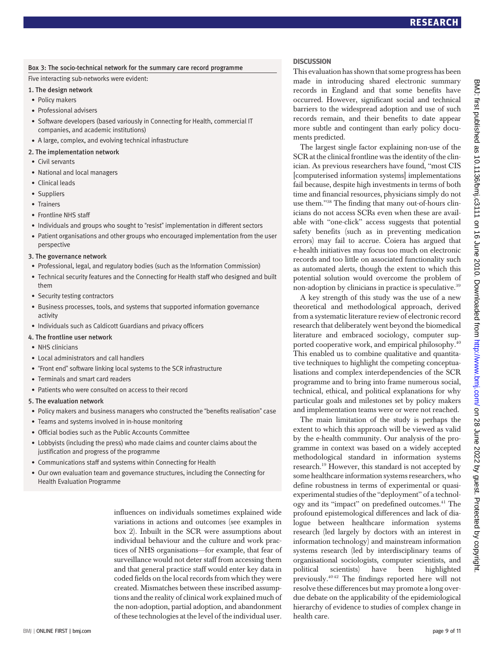#### Box 3: The socio-technical network for the summary care record programme

#### Five interacting sub-networks were evident:

#### 1. The design network

- Policy makers
- Professional advisers
- Software developers (based variously in Connecting for Health, commercial IT companies, and academic institutions)
- A large, complex, and evolving technical infrastructure

#### 2. The implementation network

- Civil servants
- National and local managers
- Clinical leads
- Suppliers
- Trainers
- Frontline NHS staff
- Individuals and groups who sought to "resist" implementation in different sectors
- Patient organisations and other groups who encouraged implementation from the user perspective

#### 3. The governance network

- Professional, legal, and regulatory bodies (such as the Information Commission)
- Technical security features and the Connecting for Health staff who designed and built them
- Security testing contractors
- Business processes, tools, and systems that supported information governance activity
- Individuals such as Caldicott Guardians and privacy officers
- 4. The frontline user network
- NHS clinicians
- Local administrators and call handlers
- "Front end" software linking local systems to the SCR infrastructure
- Terminals and smart card readers
- Patients who were consulted on access to their record

#### 5. The evaluation network

- Policy makers and business managers who constructed the "benefits realisation" case
- Teams and systems involved in in-house monitoring
- Official bodies such as the Public Accounts Committee
- Lobbyists (including the press) who made claims and counter claims about the justification and progress of the programme
- Communications staff and systems within Connecting for Health
- Our own evaluation team and governance structures, including the Connecting for Health Evaluation Programme

influences on individuals sometimes explained wide variations in actions and outcomes (see examples in box 2). Inbuilt in the SCR were assumptions about individual behaviour and the culture and work practices of NHS organisations—for example, that fear of surveillance would not deter staff from accessing them and that general practice staff would enter key data in coded fields on the local records from which they were created. Mismatches between these inscribed assumptions and the reality of clinical work explained much of the non-adoption, partial adoption, and abandonment of these technologies at the level of the individual user.

#### **DISCUSSION**

This evaluation has shown that some progress has been made in introducing shared electronic summary records in England and that some benefits have occurred. However, significant social and technical barriers to the widespread adoption and use of such records remain, and their benefits to date appear more subtle and contingent than early policy documents predicted.

The largest single factor explaining non-use of the SCR at the clinical frontline was the identity of the clinician. As previous researchers have found, "most CIS [computerised information systems] implementations fail because, despite high investments in terms of both time and financial resources, physicians simply do not use them."<sup>38</sup> The finding that many out-of-hours clinicians do not access SCRs even when these are available with "one-click" access suggests that potential safety benefits (such as in preventing medication errors) may fail to accrue. Coiera has argued that e-health initiatives may focus too much on electronic records and too little on associated functionality such as automated alerts, though the extent to which this potential solution would overcome the problem of non-adoption by clinicians in practice is speculative.<sup>39</sup>

A key strength of this study was the use of a new theoretical and methodological approach, derived from a systematic literature review of electronic record research that deliberately went beyond the biomedical literature and embraced sociology, computer supported cooperative work, and empirical philosophy.<sup>40</sup> This enabled us to combine qualitative and quantitative techniques to highlight the competing conceptualisations and complex interdependencies of the SCR programme and to bring into frame numerous social, technical, ethical, and political explanations for why particular goals and milestones set by policy makers and implementation teams were or were not reached.

The main limitation of the study is perhaps the extent to which this approach will be viewed as valid by the e-health community. Our analysis of the programme in context was based on a widely accepted methodological standard in information systems research.19 However, this standard is not accepted by some healthcare information systems researchers, who define robustness in terms of experimental or quasiexperimental studies of the "deployment" of a technology and its "impact" on predefined outcomes.<sup>41</sup> The profound epistemological differences and lack of dialogue between healthcare information systems research (led largely by doctors with an interest in information technology) and mainstream information systems research (led by interdisciplinary teams of organisational sociologists, computer scientists, and political scientists) have been highlighted previously.40 42 The findings reported here will not resolve these differences but may promote a long overdue debate on the applicability of the epidemiological hierarchy of evidence to studies of complex change in health care.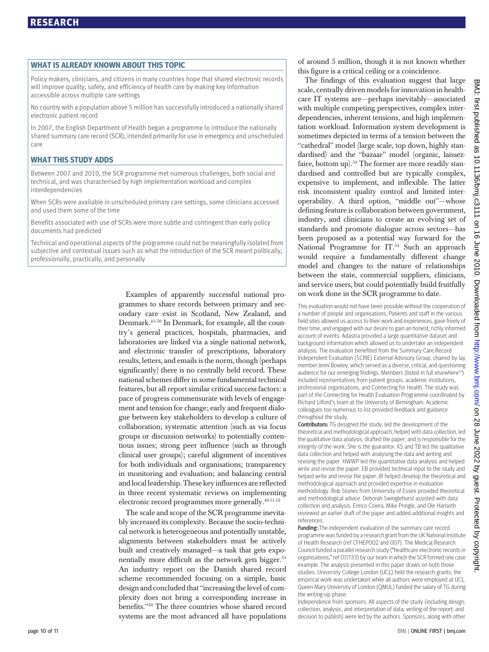Policy makers, clinicians, and citizens in many countries hope that shared electronic records will improve quality, safety, and efficiency of health care by making key information accessible across multiple care settings

No country with a population above 5 million has successfully introduced a nationally shared electronic patient record

In 2007, the English Department of Health began a programme to introduce the nationally shared summary care record (SCR), intended primarily for use in emergency and unscheduled care

WHAT THIS STUDY ADDS Between 2007 and 2010, the SCR programme met numerous challenges, both social and technical, and was characterised by high implementation workload and complex interdependencies

When SCRs were available in unscheduled primary care settings, some clinicians accessed and used them some of the time

Benefits associated with use of SCRs were more subtle and contingent than early policy documents had predicted

Technical and operational aspects of the programme could not be meaningfully isolated from subjective and contextual issues such as what the introduction of the SCR meant politically, professionally, practically, and personally

> Examples of apparently successful national programmes to share records between primary and secondary care exist in Scotland, New Zealand, and Denmark.43-50 In Denmark, for example, all the country's general practices, hospitals, pharmacies, and laboratories are linked via a single national network, and electronic transfer of prescriptions, laboratory results, letters, and emails is the norm, though (perhaps significantly) there is no centrally held record. These national schemes differ in some fundamental technical features, but all report similar critical success factors: a pace of progress commensurate with levels of engagement and tension for change; early and frequent dialogue between key stakeholders to develop a culture of collaboration; systematic attention (such as via focus groups or discussion networks) to potentially contentious issues; strong peer influence (such as through clinical user groups); careful alignment of incentives for both individuals and organisations; transparency in monitoring and evaluation; and balancing central and local leadership. These key influences are reflected in three recent systematic reviews on implementing electronic record programmes more generally.<sup>405152</sup>

> The scale and scope of the SCR programme inevitably increased its complexity. Because the socio-technical network is heterogeneous and potentially unstable, alignments between stakeholders must be actively built and creatively managed—a task that gets exponentially more difficult as the network gets bigger.<sup>53</sup> An industry report on the Danish shared record scheme recommended focusing on a simple, basic design and concluded that "increasing the level of complexity does not bring a corresponding increase in benefits."<sup>50</sup> The three countries whose shared record systems are the most advanced all have populations

of around 5 million, though it is not known whether this figure is a critical ceiling or a coincidence.

The findings of this evaluation suggest that large scale, centrally driven models for innovation in healthcare IT systems are—perhaps inevitably—associated with multiple competing perspectives, complex interdependencies, inherent tensions, and high implementation workload. Information system development is sometimes depicted in terms of a tension between the "cathedral" model (large scale, top down, highly standardised) and the "bazaar" model (organic, laissezfaire, bottom up).<sup>54</sup> The former are more readily standardised and controlled but are typically complex, expensive to implement, and inflexible. The latter risk inconsistent quality control and limited interoperability. A third option, "middle out"—whose defining feature is collaboration between government, industry, and clinicians to create an evolving set of standards and promote dialogue across sectors—has been proposed as a potential way forward for the National Programme for IT.<sup>54</sup> Such an approach would require a fundamentally different change model and changes to the nature of relationships between the state, commercial suppliers, clinicians, and service users, but could potentially build fruitfully on work done in the SCR programme to date.

This evaluation would not have been possible without the cooperation of a number of people and organisations. Patients and staff in the various field sites allowed us access to their work and experiences, gave freely of their time, and engaged with our desire to gain an honest, richly informed account of events. Adastra provided a large quantitative dataset and background information which allowed us to undertake an independent analysis. The evaluation benefited from the Summary Care Record Independent Evaluation (SCRIE) External Advisory Group, chaired by lay member Jenni Bowley, which served as a diverse, critical, and questioning audience for our emerging findings. Members (listed in full elsewhere<sup>14</sup>) included representatives from patient groups, academic institutions, professional organisations, and Connecting for Health. The study was part of the Connecting for Health Evaluation Programme coordinated by Richard Lilford's team at the University of Birmingham. Academic colleagues too numerous to list provided feedback and guidance throughout the study.

Contributors: TG designed the study, led the development of the theoretical and methodological approach, helped with data collection, led the qualitative data analysis, drafted the paper, and is responsible for the integrity of the work. She is the guarantor. KS and TB led the qualitative data collection and helped with analysing the data and writing and revising the paper. HWWP led the quantitative data analysis and helped write and revise the paper. EB provided technical input to the study and helped write and revise the paper. JR helped develop the theoretical and methodological approach and provided expertise in evaluation methodology. Rob Stones from University of Essex provided theoretical and methodological advice. Deborah Swinglehurst assisted with data collection and analysis. Enrico Coiera, Mike Pringle, and Ole Hanseth reviewed an earlier draft of the paper and added additional insights and references.

Funding: The independent evaluation of the summary care record programme was funded by a research grant from the UK National Institute of Health Research (ref CFHEP002 and 007). The Medical Research Council funded a parallel research study ("healthcare electronic records in organisations," ref 07/133) by our team in which the SCR formed one case example. The analysis presented in this paper draws on both those studies. University College London (UCL) held the research grants; the empirical work was undertaken while all authors were employed at UCL. Queen Mary University of London (QMUL) funded the salary of TG during the writing-up phase.

Independence from sponsors: All aspects of the study (including design; collection, analysis, and interpretation of data; writing of the report; and decision to publish) were led by the authors. Sponsors, along with other